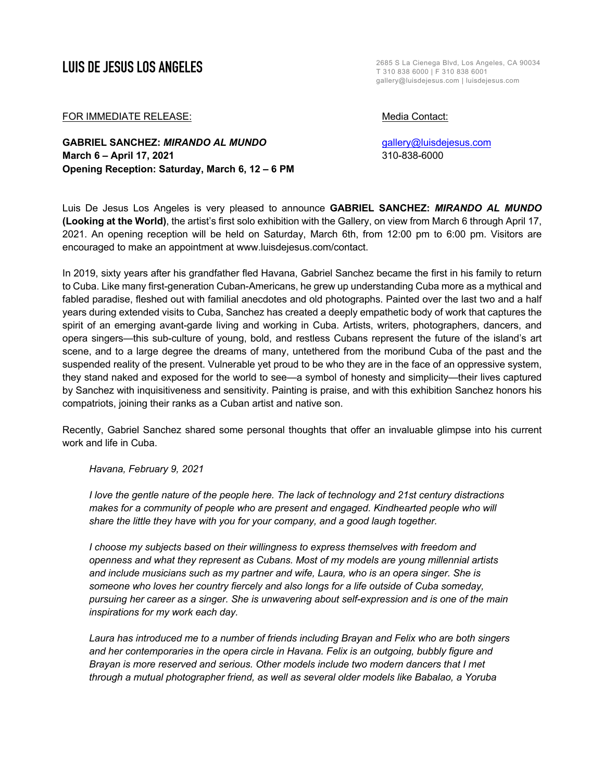**LUIS DE JESUS LOS ANGELES** T 310 838 6000 | F 310 838 6001 gallery@luisdejesus.com | luisdejesus.com

## FOR IMMEDIATE RELEASE: Media Contact:

**GABRIEL SANCHEZ:** *MIRANDO AL MUNDO* gallery@luisdejesus.com **March 6 – April 17, 2021** 310-838-6000 **Opening Reception: Saturday, March 6, 12 – 6 PM**

Luis De Jesus Los Angeles is very pleased to announce **GABRIEL SANCHEZ:** *MIRANDO AL MUNDO* **(Looking at the World)**, the artist's first solo exhibition with the Gallery, on view from March 6 through April 17, 2021. An opening reception will be held on Saturday, March 6th, from 12:00 pm to 6:00 pm. Visitors are encouraged to make an appointment at www.luisdejesus.com/contact.

In 2019, sixty years after his grandfather fled Havana, Gabriel Sanchez became the first in his family to return to Cuba. Like many first-generation Cuban-Americans, he grew up understanding Cuba more as a mythical and fabled paradise, fleshed out with familial anecdotes and old photographs. Painted over the last two and a half years during extended visits to Cuba, Sanchez has created a deeply empathetic body of work that captures the spirit of an emerging avant-garde living and working in Cuba. Artists, writers, photographers, dancers, and opera singers—this sub-culture of young, bold, and restless Cubans represent the future of the island's art scene, and to a large degree the dreams of many, untethered from the moribund Cuba of the past and the suspended reality of the present. Vulnerable yet proud to be who they are in the face of an oppressive system, they stand naked and exposed for the world to see—a symbol of honesty and simplicity—their lives captured by Sanchez with inquisitiveness and sensitivity. Painting is praise, and with this exhibition Sanchez honors his compatriots, joining their ranks as a Cuban artist and native son.

Recently, Gabriel Sanchez shared some personal thoughts that offer an invaluable glimpse into his current work and life in Cuba.

*Havana, February 9, 2021*

*I love the gentle nature of the people here. The lack of technology and 21st century distractions makes for a community of people who are present and engaged. Kindhearted people who will share the little they have with you for your company, and a good laugh together.*

*I choose my subjects based on their willingness to express themselves with freedom and openness and what they represent as Cubans. Most of my models are young millennial artists and include musicians such as my partner and wife, Laura, who is an opera singer. She is someone who loves her country fiercely and also longs for a life outside of Cuba someday, pursuing her career as a singer. She is unwavering about self-expression and is one of the main inspirations for my work each day.* 

*Laura has introduced me to a number of friends including Brayan and Felix who are both singers and her contemporaries in the opera circle in Havana. Felix is an outgoing, bubbly figure and Brayan is more reserved and serious. Other models include two modern dancers that I met through a mutual photographer friend, as well as several older models like Babalao, a Yoruba*